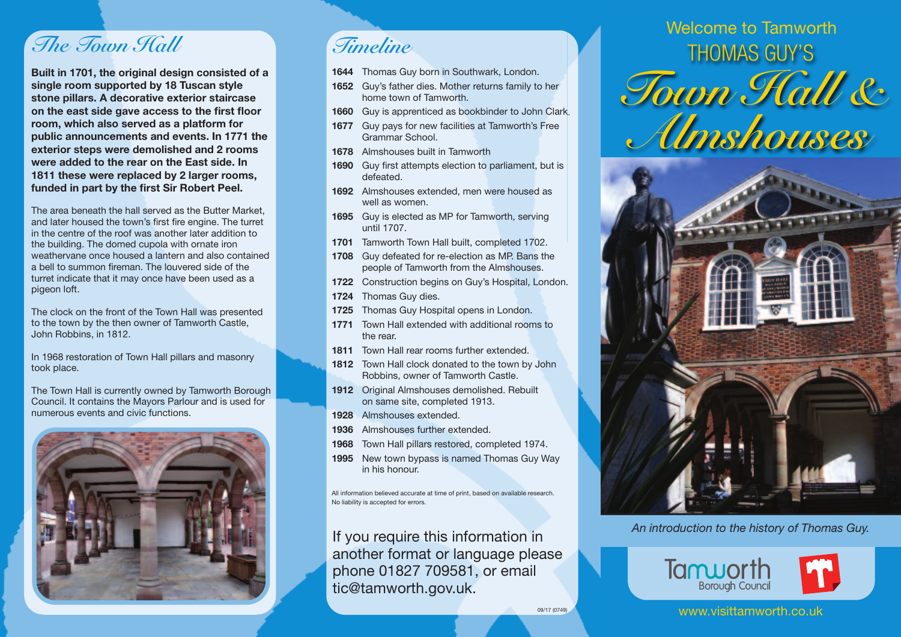## *The Town Hall*

**Built in 1701, the original design consisted of a single room supported by 18 Tuscan style stone pillars. A decorative exterior staircase on the east side gave access to the first floor room, which also served as a platform for public announcements and events. In 1771 the exterior steps were demolished and 2 rooms were added to the rear on the East side. In 1811 these were replaced by 2 larger rooms, funded in part by the first Sir Robert Peel.**

The area beneath the hall served as the Butter Market, and later housed the town's first fire engine. The turret in the centre of the roof was another later addition to the building. The domed cupola with ornate iron weathervane once housed a lantern and also contained a bell to summon fireman. The louvered side of the turret indicate that it may once have been used as a pigeon loft.

The clock on the front of the Town Hall was presented to the town by the then owner of Tamworth Castle, John Robbins, in 1812.

In 1968 restoration of Town Hall pillars and masonry took place.

The Town Hall is currently owned by Tamworth Borough Council. It contains the Mayors Parlour and is used for numerous events and civic functions.



*Timeline*

- **1644** Thomas Guy born in Southwark, London.
- **1652** Guy's father dies. Mother returns family to her home town of Tamworth.
- **1660** Guy is apprenticed as bookbinder to John Clark.
- **1677** Guy pays for new facilities at Tamworth's Free Grammar School.
- **1678** Almshouses built in Tamworth
- **1690** Guy first attempts election to parliament, but is defeated.
- **1692** Almshouses extended, men were housed as well as women.
- **1695** Guy is elected as MP for Tamworth, serving until 1707.
- **1701** Tamworth Town Hall built, completed 1702.
- **1708** Guy defeated for re-election as MP. Bans the people of Tamworth from the Almshouses.
- **1722** Construction begins on Guy's Hospital, London.
- **1724** Thomas Guy dies.
- **1725** Thomas Guy Hospital opens in London.
- **1771** Town Hall extended with additional rooms to the rear.
- **1811** Town Hall rear rooms further extended.
- **1812** Town Hall clock donated to the town by John Robbins, owner of Tamworth Castle.
- **1912** Original Almshouses demolished. Rebuilt on same site, completed 1913.
- **1928** Almshouses extended.
- **1936** Almshouses further extended.
- **1968** Town Hall pillars restored, completed 1974.
- **1995** New town bypass is named Thomas Guy Way in his honour.

All information believed accurate at time of print, based on available research. No liability is accepted for errors.

If you require this information in another format or language please phone 01827 709581, or email tic@tamworth.gov.uk.

THOMAS GUY'S *Town Hall & Almshouses* Welcome to Tamworth



*An introduction to the history of Thomas Guy.*